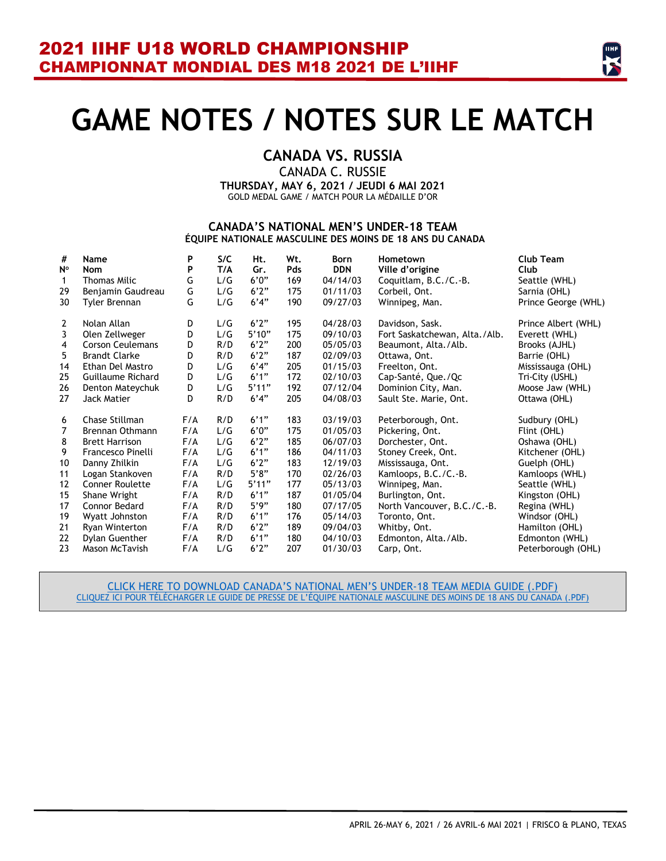

# **GAME NOTES / NOTES SUR LE MATCH**

### **CANADA VS. RUSSIA**

CANADA C. RUSSIE **THURSDAY, MAY 6, 2021 / JEUDI 6 MAI 2021** GOLD MEDAL GAME / MATCH POUR LA MÉDAILLE D'OR

#### **CANADA'S NATIONAL MEN'S UNDER-18 TEAM ÉQUIPE NATIONALE MASCULINE DES MOINS DE 18 ANS DU CANADA**

| #              | Name                    | P   | S/C | Ht.   | Wt. | <b>Born</b> | Hometown                      | <b>Club Team</b>    |
|----------------|-------------------------|-----|-----|-------|-----|-------------|-------------------------------|---------------------|
| $N^{\circ}$    | <b>Nom</b>              | P   | T/A | Gr.   | Pds | <b>DDN</b>  | Ville d'origine               | Club                |
| $\mathbf{1}$   | <b>Thomas Milic</b>     | G   | L/G | 6'0'' | 169 | 04/14/03    | Coquitlam, B.C./C.-B.         | Seattle (WHL)       |
| 29             | Benjamin Gaudreau       | G   | L/G | 6'2'' | 175 | 01/11/03    | Corbeil, Ont.                 | Sarnia (OHL)        |
| 30             | Tyler Brennan           | G   | L/G | 6'4"  | 190 | 09/27/03    | Winnipeg, Man.                | Prince George (WHL) |
| $\overline{2}$ | Nolan Allan             | D   | L/G | 6'2"  | 195 | 04/28/03    | Davidson, Sask.               | Prince Albert (WHL) |
| $\mathbf{3}$   | Olen Zellweger          | D   | L/G | 5'10" | 175 | 09/10/03    | Fort Saskatchewan, Alta./Alb. | Everett (WHL)       |
| $\overline{4}$ | <b>Corson Ceulemans</b> | D   | R/D | 6'2"  | 200 | 05/05/03    | Beaumont, Alta./Alb.          | Brooks (AJHL)       |
| 5              | <b>Brandt Clarke</b>    | D   | R/D | 6'2"  | 187 | 02/09/03    | Ottawa, Ont.                  | Barrie (OHL)        |
| 14             | Ethan Del Mastro        | D   | L/G | 6'4"  | 205 | 01/15/03    | Freelton, Ont.                | Mississauga (OHL)   |
| 25             | Guillaume Richard       | D   | L/G | 6'1'' | 172 | 02/10/03    | Cap-Santé, Que./Qc            | Tri-City (USHL)     |
| 26             | Denton Mateychuk        | D   | L/G | 5'11" | 192 | 07/12/04    | Dominion City, Man.           | Moose Jaw (WHL)     |
| 27             | Jack Matier             | D   | R/D | 6'4"  | 205 | 04/08/03    | Sault Ste. Marie, Ont.        | Ottawa (OHL)        |
| 6              | Chase Stillman          | F/A | R/D | 6'1'' | 183 | 03/19/03    | Peterborough, Ont.            | Sudbury (OHL)       |
| $\overline{7}$ | Brennan Othmann         | F/A | L/G | 6'0'' | 175 | 01/05/03    | Pickering, Ont.               | Flint (OHL)         |
| 8              | <b>Brett Harrison</b>   | F/A | L/G | 6'2"  | 185 | 06/07/03    | Dorchester, Ont.              | Oshawa (OHL)        |
| 9              | Francesco Pinelli       | F/A | L/G | 6'1'' | 186 | 04/11/03    | Stoney Creek, Ont.            | Kitchener (OHL)     |
| 10             | Danny Zhilkin           | F/A | L/G | 6'2"  | 183 | 12/19/03    | Mississauga, Ont.             | Guelph (OHL)        |
| 11             | Logan Stankoven         | F/A | R/D | 5'8"  | 170 | 02/26/03    | Kamloops, B.C./C.-B.          | Kamloops (WHL)      |
| 12             | <b>Conner Roulette</b>  | F/A | L/G | 5'11" | 177 | 05/13/03    | Winnipeg, Man.                | Seattle (WHL)       |
| 15             | Shane Wright            | F/A | R/D | 6'1'' | 187 | 01/05/04    | Burlington, Ont.              | Kingston (OHL)      |
| 17             | <b>Connor Bedard</b>    | F/A | R/D | 5'9'' | 180 | 07/17/05    | North Vancouver, B.C./C.-B.   | Regina (WHL)        |
| 19             | Wyatt Johnston          | F/A | R/D | 6'1"  | 176 | 05/14/03    | Toronto, Ont.                 | Windsor (OHL)       |
| 21             | Ryan Winterton          | F/A | R/D | 6'2'' | 189 | 09/04/03    | Whitby, Ont.                  | Hamilton (OHL)      |
| 22             | Dylan Guenther          | F/A | R/D | 6'1'' | 180 | 04/10/03    | Edmonton, Alta./Alb.          | Edmonton (WHL)      |
| 23             | Mason McTavish          | F/A | L/G | 6'2'' | 207 | 01/30/03    | Carp, Ont.                    | Peterborough (OHL)  |

[CLICK HERE TO DOWNLOAD CANADA'S NATIONAL MEN'S UNDER](https://cdn.hockeycanada.ca/hockey-canada/Team-Canada/Men/Under-18/2020-21/downloads/2021-u18wc-can-media-guide.pdf)-18 TEAM MEDIA GUIDE (.PDF) [CLIQUEZ ICI POUR TÉLÉCHARGER LE GUIDE DE PRESSE DE L'ÉQUIPE NATIONALE](https://cdn.hockeycanada.ca/hockey-canada/Team-Canada/Men/Under-18/2020-21/downloads/2021-u18wc-can-media-guide.pdf) MASCULINE DES MOINS DE 18 ANS DU CANADA (.PDF)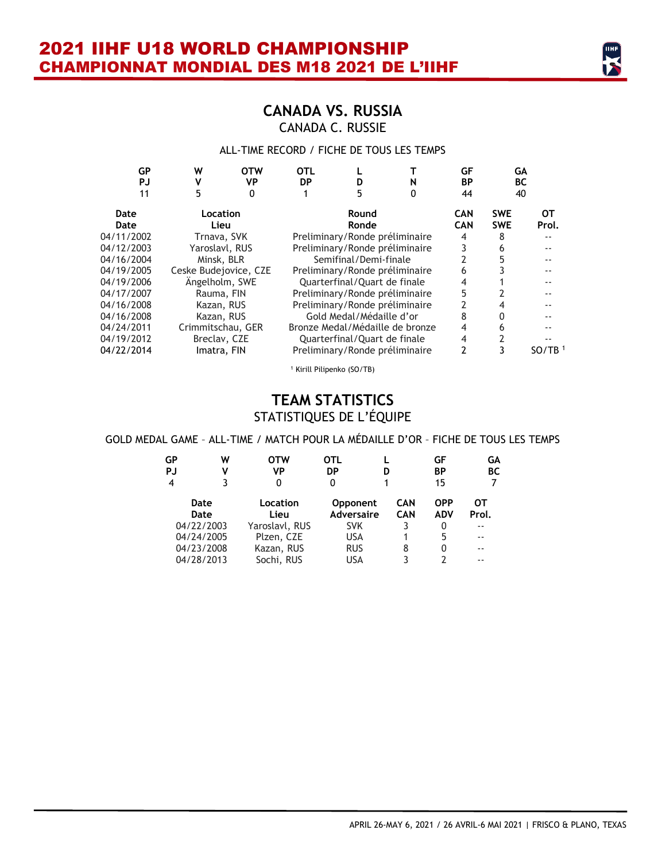### **CANADA VS. RUSSIA** CANADA C. RUSSIE

### ALL-TIME RECORD / FICHE DE TOUS LES TEMPS

| GP<br>PJ   | W                     | <b>OTW</b><br>VP | <b>OTL</b><br><b>DP</b> |                                 | N | GF<br>BP   | GА<br><b>BC</b> |                    |
|------------|-----------------------|------------------|-------------------------|---------------------------------|---|------------|-----------------|--------------------|
| 11         | 5                     | 0                |                         |                                 | 0 | 44         | 40              |                    |
| Date       | Location              |                  |                         | Round                           |   | <b>CAN</b> | <b>SWE</b>      | от                 |
| Date       | Lieu                  |                  |                         | Ronde                           |   | <b>CAN</b> | <b>SWE</b>      | Prol.              |
| 04/11/2002 | Trnava, SVK           |                  |                         | Preliminary/Ronde préliminaire  |   | 4          | 8               |                    |
| 04/12/2003 | Yaroslavl, RUS        |                  |                         | Preliminary/Ronde préliminaire  |   | 3          | 6               |                    |
| 04/16/2004 | Minsk, BLR            |                  |                         | Semifinal/Demi-finale           |   |            |                 |                    |
| 04/19/2005 | Ceske Budejovice, CZE |                  |                         | Preliminary/Ronde préliminaire  |   | 6          |                 |                    |
| 04/19/2006 | Ängelholm, SWE        |                  |                         | Quarterfinal/Quart de finale    |   | 4          |                 |                    |
| 04/17/2007 | Rauma, FIN            |                  |                         | Preliminary/Ronde préliminaire  |   | 5          |                 |                    |
| 04/16/2008 | Kazan, RUS            |                  |                         | Preliminary/Ronde préliminaire  |   |            |                 |                    |
| 04/16/2008 | Kazan, RUS            |                  |                         | Gold Medal/Médaille d'or        |   | 8          |                 |                    |
| 04/24/2011 | Crimmitschau, GER     |                  |                         | Bronze Medal/Médaille de bronze |   | 4          | 6               |                    |
| 04/19/2012 | Breclav, CZE          |                  |                         | Quarterfinal/Quart de finale    |   | 4          |                 |                    |
| 04/22/2014 | Imatra, FIN           |                  |                         | Preliminary/Ronde préliminaire  |   | 2          |                 | SO/TB <sup>1</sup> |
|            |                       |                  |                         |                                 |   |            |                 |                    |

<sup>1</sup> Kirill Pilipenko (SO/TB)

### **TEAM STATISTICS**  STATISTIQUES DE L'ÉQUIPE

### GOLD MEDAL GAME – ALL-TIME / MATCH POUR LA MÉDAILLE D'OR – FICHE DE TOUS LES TEMPS

| GР<br>PJ<br>$\overline{4}$ | W<br>٧       | OTW<br>VP<br>0   | OTL<br>DP<br>0                       | D                 | GF<br><b>BP</b><br>15 | GΑ<br><b>BC</b> |
|----------------------------|--------------|------------------|--------------------------------------|-------------------|-----------------------|-----------------|
|                            | Date<br>Date | Location<br>Lieu | <b>Opponent</b><br><b>Adversaire</b> | CAN<br><b>CAN</b> | OPP<br><b>ADV</b>     | ОТ<br>Prol.     |
|                            | 04/22/2003   | Yaroslavl, RUS   | <b>SVK</b>                           | 3                 | 0                     | --              |
|                            | 04/24/2005   | Plzen, CZE       | USA                                  |                   | 5                     | --              |
|                            | 04/23/2008   | Kazan, RUS       | <b>RUS</b>                           | 8                 | 0                     | --              |
|                            | 04/28/2013   | Sochi, RUS       | USA                                  | ς                 | 7                     | - -             |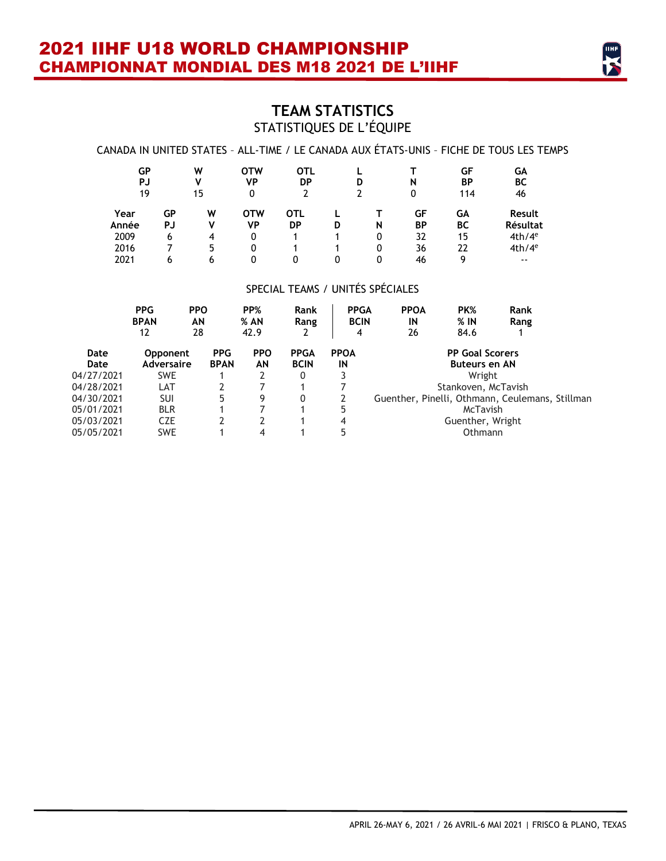

### **TEAM STATISTICS**  STATISTIQUES DE L'ÉQUIPE

### CANADA IN UNITED STATES – ALL-TIME / LE CANADA AUX ÉTATS-UNIS – FICHE DE TOUS LES TEMPS

| GР<br>PJ<br>19 |          | W<br>v<br>15 | <b>OTW</b><br>VP<br>0 | <b>OTL</b><br>DP |   | D | N<br>0          | GF<br><b>BP</b><br>114 | GА<br>ВC<br>46            |
|----------------|----------|--------------|-----------------------|------------------|---|---|-----------------|------------------------|---------------------------|
| Year<br>Année  | GΡ<br>PJ | w<br>V       | <b>OTW</b><br>VP      | <b>OTL</b><br>DP | D | N | GF<br><b>BP</b> | GΑ<br>ВC               | <b>Result</b><br>Résultat |
| 2009           | 6        | 4            | 0                     |                  |   | 0 | 32              | 15                     | 4th/4 <sup>e</sup>        |
| 2016           |          | 5            | 0                     |                  |   | 0 | 36              | 22                     | 4th/4 <sup>e</sup>        |
| 2021           | 6        | 6            | 0                     |                  | 0 | 0 | 46              | q                      | $- -$                     |

#### SPECIAL TEAMS / UNITÉS SPÉCIALES

|              | <b>PPG</b><br><b>BPAN</b><br>12      | <b>PPO</b><br>ΑN<br>28    | PP%<br>$%$ AN<br>42.9 | Rank<br>Rang<br>2          | <b>PPGA</b><br><b>BCIN</b><br>4 | <b>PPOA</b><br>IN<br>26 | PK%<br>$%$ IN<br>84.6                          | Rank<br>Rang                                    |
|--------------|--------------------------------------|---------------------------|-----------------------|----------------------------|---------------------------------|-------------------------|------------------------------------------------|-------------------------------------------------|
| Date<br>Date | <b>Opponent</b><br><b>Adversaire</b> | <b>PPG</b><br><b>BPAN</b> | <b>PPO</b><br>ΑN      | <b>PPGA</b><br><b>BCIN</b> | <b>PPOA</b><br>IN               |                         | <b>PP Goal Scorers</b><br><b>Buteurs en AN</b> |                                                 |
| 04/27/2021   | <b>SWE</b>                           |                           |                       | 0                          |                                 |                         | Wright                                         |                                                 |
| 04/28/2021   | LAT                                  |                           |                       |                            |                                 |                         | Stankoven, McTavish                            |                                                 |
| 04/30/2021   | <b>SUI</b>                           | 5                         | 9                     | 0                          |                                 |                         |                                                | Guenther, Pinelli, Othmann, Ceulemans, Stillman |
| 05/01/2021   | <b>BLR</b>                           |                           |                       |                            | 5                               |                         | McTavish                                       |                                                 |
| 05/03/2021   | <b>CZE</b>                           |                           |                       |                            | 4                               |                         | Guenther, Wright                               |                                                 |
| 05/05/2021   | <b>SWE</b>                           |                           | 4                     |                            |                                 |                         | Othmann                                        |                                                 |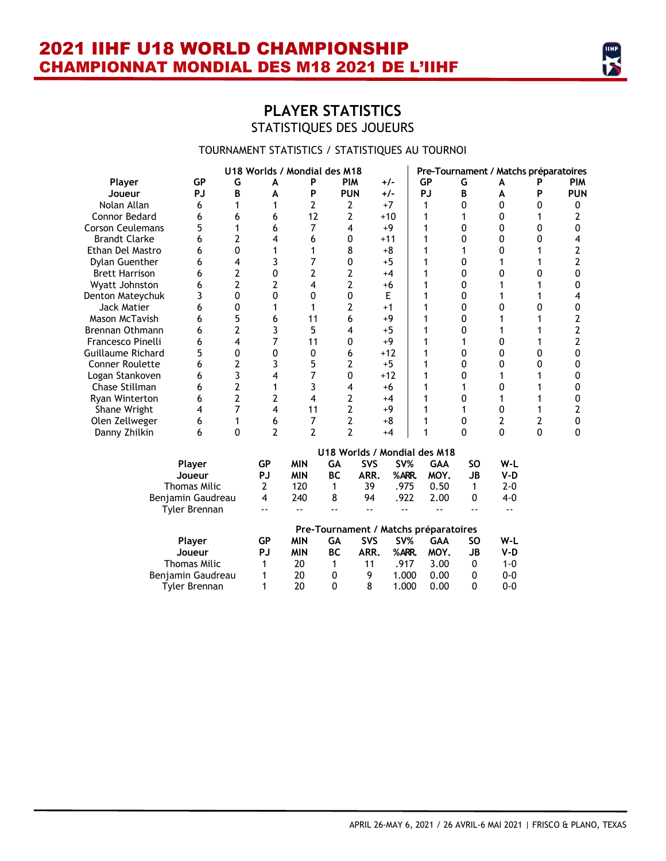

### **PLAYER STATISTICS**  STATISTIQUES DES JOUEURS

### TOURNAMENT STATISTICS / STATISTIQUES AU TOURNOI

|                          |    | U18 Worlds / Mondial des M18 |   | Pre-Tournament / Matchs préparatoires |            |       |           |   |   |  |            |
|--------------------------|----|------------------------------|---|---------------------------------------|------------|-------|-----------|---|---|--|------------|
| Player                   | GР | G                            | A | P                                     | <b>PIM</b> | $+/-$ | <b>GP</b> | G | A |  | <b>PIM</b> |
| Joueur                   | PJ | B                            | A | P                                     | <b>PUN</b> | $+/-$ | PJ        | R | A |  | <b>PUN</b> |
| Nolan Allan              | 6  |                              |   |                                       |            | $+7$  |           |   |   |  |            |
| Connor Bedard            |    | h                            |   | 12                                    |            | $+10$ |           |   |   |  |            |
| <b>Corson Ceulemans</b>  |    |                              |   |                                       |            | +9    |           |   |   |  |            |
| <b>Brandt Clarke</b>     |    |                              |   |                                       |            | $+11$ |           |   |   |  |            |
| Ethan Del Mastro         |    |                              |   |                                       |            | +8    |           |   |   |  |            |
| Dylan Guenther           |    |                              |   |                                       |            | $+5$  |           |   |   |  |            |
| <b>Brett Harrison</b>    | h  |                              |   |                                       |            | $+4$  |           |   |   |  |            |
| Wyatt Johnston           |    |                              |   |                                       |            | +6    |           |   |   |  |            |
| Denton Mateychuk         |    |                              |   |                                       |            | E     |           |   |   |  |            |
| Jack Matier              |    |                              |   |                                       |            | $+1$  |           |   |   |  |            |
| Mason McTavish           |    |                              |   |                                       |            | +9    |           |   |   |  |            |
| Brennan Othmann          |    |                              |   |                                       |            | $+5$  |           |   |   |  |            |
| Francesco Pinelli        |    |                              |   | 11                                    |            | +9    |           |   |   |  |            |
| <b>Guillaume Richard</b> |    |                              |   |                                       |            | $+12$ |           |   |   |  |            |
| Conner Roulette          |    |                              |   |                                       |            | $+5$  |           |   |   |  |            |
| Logan Stankoven          |    |                              |   |                                       |            | $+12$ |           |   |   |  |            |
| Chase Stillman           | h  |                              |   |                                       |            | +6    |           |   |   |  |            |
| Ryan Winterton           |    |                              |   |                                       |            | $+4$  |           |   |   |  |            |
| Shane Wright             |    |                              |   | 11                                    |            | +9    |           |   |   |  |            |
| Olen Zellweger           |    |                              |   |                                       |            | +8    |           |   |   |  |            |
| Danny Zhilkin            | h  |                              |   |                                       |            | $+4$  |           |   |   |  |            |

|                   | U18 Worlds / Mondial des M18 |                                       |    |            |       |      |    |         |  |  |
|-------------------|------------------------------|---------------------------------------|----|------------|-------|------|----|---------|--|--|
| Player            | GР                           | <b>MIN</b>                            | GΑ | <b>SVS</b> | SV%   | GAA  | SΟ | W-L     |  |  |
| Joueur            | PJ                           | <b>MIN</b>                            | ВC | ARR.       | %ARR. | MOY. | JB | V-D     |  |  |
| Thomas Milic      | 2                            | 120                                   |    | 39         | .975  | 0.50 | 1  | $2 - 0$ |  |  |
| Benjamin Gaudreau | 4                            | 240                                   | 8  | 94         | .922  | 2.00 | 0  | $4-0$   |  |  |
| Tyler Brennan     |                              |                                       |    |            |       |      |    |         |  |  |
|                   |                              | Pre-Tournament / Matchs préparatoires |    |            |       |      |    |         |  |  |
| <b>Player</b>     | GP                           | <b>MIN</b>                            | GА | <b>SVS</b> | SV%   | GAA  | SΟ | W-L     |  |  |
| Joueur            | PJ                           | <b>MIN</b>                            | ВC | ARR.       | %ARR. | MOY. | JB | V-D     |  |  |
| Thomas Milic      | 1                            | 20                                    | 1  | 11         | .917  | 3.00 | 0  | 1-0     |  |  |
| Benjamin Gaudreau | 1                            | 20                                    | 0  | 9          | 1.000 | 0.00 | 0  | $0 - 0$ |  |  |
| Tvler Brennan     |                              | 20                                    | 0  | 8          | 1.000 | 0.00 | 0  | $0 - 0$ |  |  |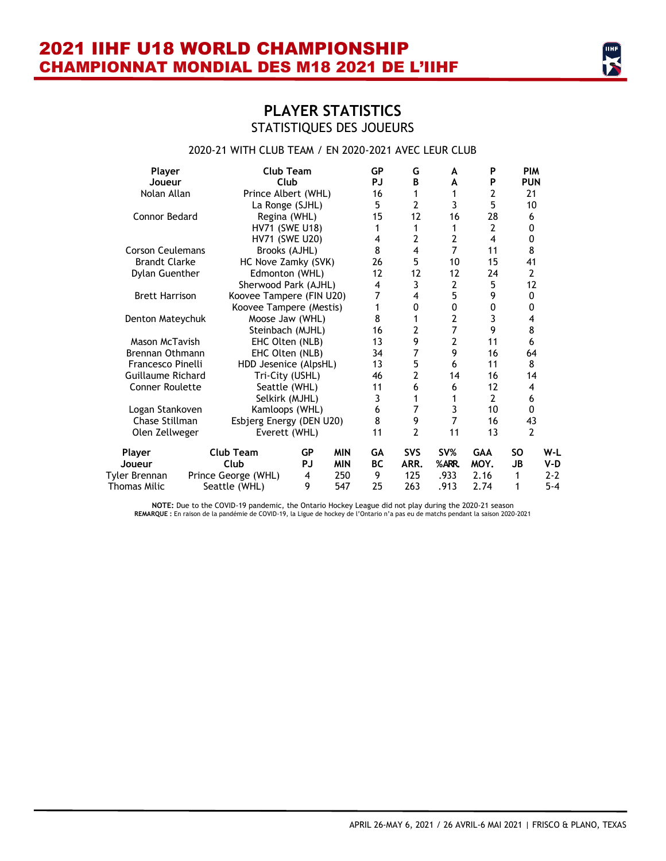### **PLAYER STATISTICS**  STATISTIQUES DES JOUEURS

### 2020-21 WITH CLUB TEAM / EN 2020-2021 AVEC LEUR CLUB

| Player                  | Club Team                |    |            | <b>GP</b>         | G              | A              | P                       | <b>PIM</b>     |         |
|-------------------------|--------------------------|----|------------|-------------------|----------------|----------------|-------------------------|----------------|---------|
| Joueur                  | Club                     |    |            | PJ                | В              | A              | P                       | <b>PUN</b>     |         |
| Nolan Allan             | Prince Albert (WHL)      |    |            | 16                | 1              | 1              | 2                       | 21             |         |
|                         | La Ronge (SJHL)          |    |            | 5                 | $\overline{2}$ | 3              | 5                       | 10             |         |
| Connor Bedard           | Regina (WHL)             |    |            | 15                | 12             | 16             | 28                      | 6              |         |
|                         | <b>HV71 (SWE U18)</b>    |    |            | 1                 | 1              | 1              | $\overline{2}$          | 0              |         |
|                         | <b>HV71 (SWE U20)</b>    |    |            | 4                 | 2              | $\overline{2}$ | $\overline{\mathbf{4}}$ | 0              |         |
| <b>Corson Ceulemans</b> | Brooks (AJHL)            |    |            | 8                 | 4              | $\overline{7}$ | 11                      | 8              |         |
| <b>Brandt Clarke</b>    | HC Nove Zamky (SVK)      |    |            | 26                | 5              | 10             | 15                      | 41             |         |
| Dylan Guenther          | Edmonton (WHL)           |    |            | $12 \overline{ }$ | 12             | 12             | 24                      | $\overline{2}$ |         |
|                         | Sherwood Park (AJHL)     |    |            | 4                 | 3              | $\overline{2}$ | 5                       | 12             |         |
| <b>Brett Harrison</b>   | Koovee Tampere (FIN U20) |    |            | 7                 | 4              | 5              | 9                       | 0              |         |
|                         | Koovee Tampere (Mestis)  |    |            | 1                 | 0              | 0              | 0                       | 0              |         |
| Denton Mateychuk        | Moose Jaw (WHL)          |    |            | 8                 | 1              | $\overline{2}$ | 3                       | 4              |         |
|                         | Steinbach (MJHL)         |    |            | 16                | $\overline{2}$ | $\overline{7}$ | 9                       | 8              |         |
| Mason McTavish          | EHC Olten (NLB)          |    |            | 13                | 9              | $\overline{2}$ | 11                      | 6              |         |
| Brennan Othmann         | EHC Olten (NLB)          |    |            | 34                | 7              | 9              | 16                      | 64             |         |
| Francesco Pinelli       | HDD Jesenice (AlpsHL)    |    |            | 13                | 5              | 6              | 11                      | 8              |         |
| Guillaume Richard       | Tri-City (USHL)          |    |            | 46                | $\overline{2}$ | 14             | 16                      | 14             |         |
| <b>Conner Roulette</b>  | Seattle (WHL)            |    |            | 11                | 6              | 6              | 12                      | 4              |         |
|                         | Selkirk (MJHL)           |    |            | 3                 | 1              | 1              | $\overline{2}$          | 6              |         |
| Logan Stankoven         | Kamloops (WHL)           |    |            | 6                 | 7              | 3              | 10                      | 0              |         |
| Chase Stillman          | Esbjerg Energy (DEN U20) |    |            | 8                 | 9              | $\overline{7}$ | 16                      | 43             |         |
| Olen Zellweger          | Everett (WHL)            |    |            | 11                | $\overline{2}$ | 11             | 13                      | $\overline{2}$ |         |
| Player                  | <b>Club Team</b>         | GP | <b>MIN</b> | GA                | <b>SVS</b>     | SV%            | <b>GAA</b>              | <b>SO</b>      | W-L     |
| Joueur                  | Club                     | PJ | <b>MIN</b> | <b>BC</b>         | ARR.           | %ARR.          | MOY.                    | JB             | V-D     |
| Tyler Brennan           | Prince George (WHL)      | 4  | 250        | 9                 | 125            | .933           | 2.16                    | 1              | 2-2     |
| <b>Thomas Milic</b>     | Seattle (WHL)            | 9  | 547        | 25                | 263            | .913           | 2.74                    | 1              | $5 - 4$ |

NOTE: Due to the COVID-19 pandemic, the Ontario Hockey League did not play during the 2020-21 season<br>REMARQUE : En raison de la pandémie de COVID-19, la Ligue de hockey de l'Ontario n'a pas eu de matchs pendant la saison 2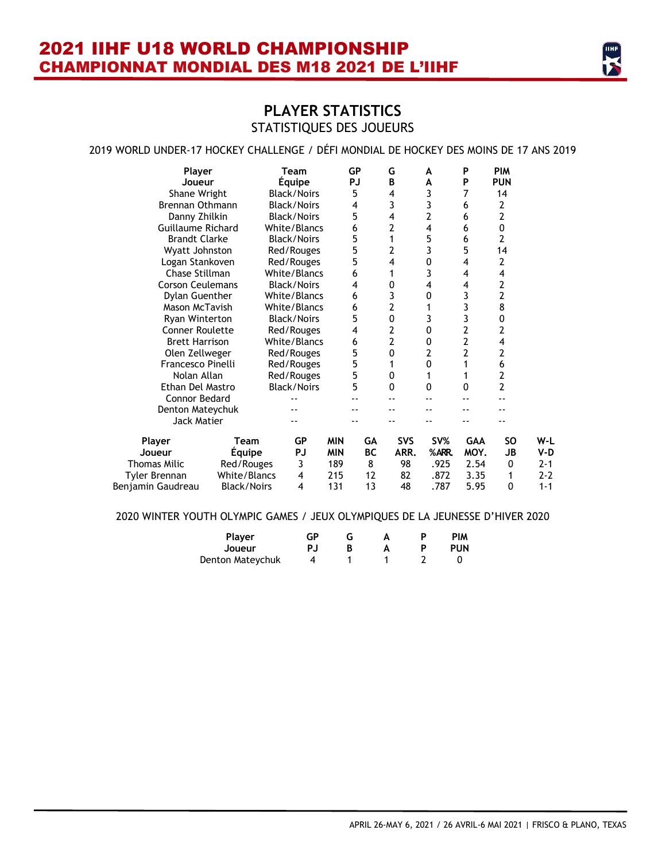### **PLAYER STATISTICS**  STATISTIQUES DES JOUEURS

### 2019 WORLD UNDER-17 HOCKEY CHALLENGE / DÉFI MONDIAL DE HOCKEY DES MOINS DE 17 ANS 2019

| Player<br>Joueur        |                    | Team<br><b>Equipe</b> |            | GP<br>PJ  | G<br>B         | A<br>A       | P<br>P                  | <b>PIM</b><br><b>PUN</b> |         |
|-------------------------|--------------------|-----------------------|------------|-----------|----------------|--------------|-------------------------|--------------------------|---------|
| Shane Wright            |                    | <b>Black/Noirs</b>    |            | 5         | 4              | 3            | 7                       | 14                       |         |
| <b>Brennan Othmann</b>  |                    | <b>Black/Noirs</b>    |            | 4         | 3              | 3            | 6                       | 2                        |         |
| Danny Zhilkin           |                    | <b>Black/Noirs</b>    |            | 5         | 4              | 2            | 6                       | $\overline{2}$           |         |
| Guillaume Richard       |                    | White/Blancs          |            | 6         | 2              | 4            | 6                       | $\mathbf 0$              |         |
| <b>Brandt Clarke</b>    |                    | <b>Black/Noirs</b>    |            | 5         | 1              | 5            | 6                       | 2                        |         |
| Wyatt Johnston          |                    | Red/Rouges            |            | 5         | $\overline{2}$ | 3            | 5                       | 14                       |         |
| Logan Stankoven         |                    | Red/Rouges            |            | 5         | 4              | 0            | 4                       | $\overline{2}$           |         |
| Chase Stillman          |                    | White/Blancs          |            | 6         | 1              | 3            | 4                       | 4                        |         |
| <b>Corson Ceulemans</b> |                    | <b>Black/Noirs</b>    |            | 4         | 0              | 4            | 4                       | 2                        |         |
| <b>Dylan Guenther</b>   |                    | White/Blancs          |            | 6         | 3              | 0            | 3                       | $\overline{2}$           |         |
| Mason McTavish          |                    | White/Blancs          |            | 6         | 2              |              | 3                       | 8                        |         |
| Ryan Winterton          |                    | <b>Black/Noirs</b>    |            | 5         | 0              | 3            | 3                       | 0                        |         |
| <b>Conner Roulette</b>  |                    | Red/Rouges            |            | 4         | 2              | $\mathbf{0}$ | $\overline{2}$          | $\overline{2}$           |         |
| <b>Brett Harrison</b>   |                    | White/Blancs          |            | 6         | 2              | 0            | $\overline{\mathbf{c}}$ | 4                        |         |
| Olen Zellweger          |                    | Red/Rouges            |            | 5         | 0              | 2            | $\overline{2}$          | 2                        |         |
| Francesco Pinelli       |                    | Red/Rouges            |            | 5         | 1              | $\mathbf{0}$ | 1                       | 6                        |         |
| Nolan Allan             |                    | Red/Rouges            |            | 5         | 0              | 1            | 1                       | 2                        |         |
| Ethan Del Mastro        |                    | <b>Black/Noirs</b>    |            | 5         | 0              | $\mathbf{0}$ | 0                       | $\overline{2}$           |         |
| <b>Connor Bedard</b>    |                    |                       |            |           |                |              |                         |                          |         |
| Denton Mateychuk        |                    |                       |            |           |                |              |                         |                          |         |
| Jack Matier             |                    |                       |            |           |                |              |                         |                          |         |
| Player                  | Team               | GP                    | <b>MIN</b> | GA        | <b>SVS</b>     | SV%          | <b>GAA</b>              | SO                       | W-L     |
| Joueur                  | <b>Équipe</b>      | PJ                    | <b>MIN</b> | <b>BC</b> | ARR.           | %ARR.        | MOY.                    | JB                       | V-D     |
| <b>Thomas Milic</b>     | Red/Rouges         | 3                     | 189        | 8         | 98             | .925         | 2.54                    | 0                        | 2-1     |
| Tyler Brennan           | White/Blancs       | 4                     | 215        | 12        | 82             | .872         | 3.35                    | 1                        | $2 - 2$ |
| Benjamin Gaudreau       | <b>Black/Noirs</b> | 4                     | 131        | 13        | 48             | .787         | 5.95                    | 0                        | $1 - 1$ |

#### 2020 WINTER YOUTH OLYMPIC GAMES / JEUX OLYMPIQUES DE LA JEUNESSE D'HIVER 2020

| Player           | GР  |  | D | <b>PIM</b> |
|------------------|-----|--|---|------------|
| Joueur           | PJ. |  | D | <b>PUN</b> |
| Denton Mateychuk |     |  |   |            |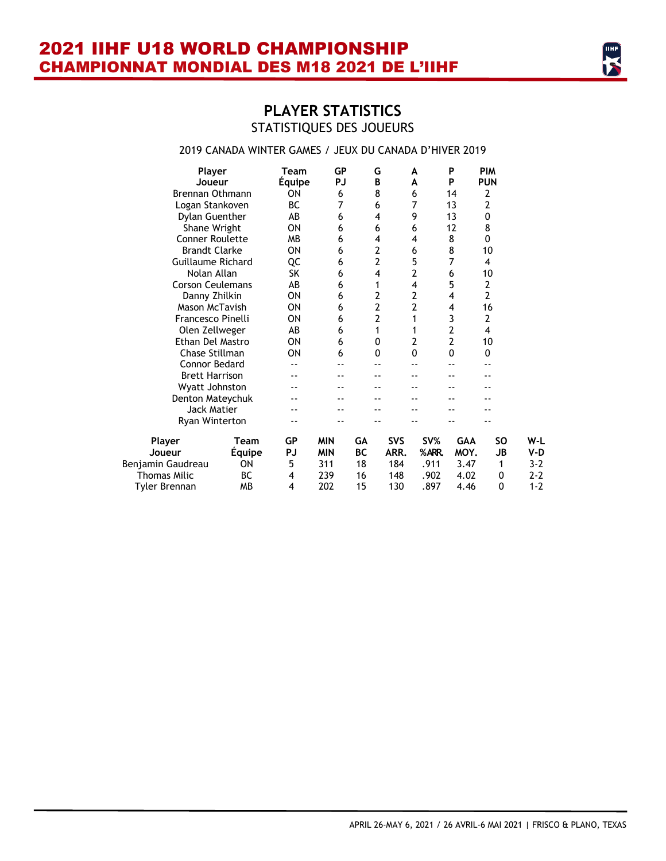### **PLAYER STATISTICS**  STATISTIQUES DES JOUEURS

### 2019 CANADA WINTER GAMES / JEUX DU CANADA D'HIVER 2019

| Player<br>Joueur                 | Team<br>Equipe | <b>GP</b><br>PJ | G<br>B       | А<br>A       | P<br>P         | <b>PIM</b><br><b>PUN</b> |              |
|----------------------------------|----------------|-----------------|--------------|--------------|----------------|--------------------------|--------------|
| Brennan Othmann                  | ΟN             | 6               | 8            | 6            | 14             | 2                        |              |
| Logan Stankoven                  | BC             | 7               | 6            | 7            | 13             | 2                        |              |
| Dylan Guenther                   | AB             | 6               | 4            | 9            | 13             | 0                        |              |
| Shane Wright                     | ΟN             | 6               | 6            | 6            | 12             | 8                        |              |
| <b>Conner Roulette</b>           | <b>MB</b>      | 6               | 4            | 4            | 8              | 0                        |              |
| <b>Brandt Clarke</b>             | ON             | 6               | 2            | 6            | 8              | 10                       |              |
| Guillaume Richard                | QC             | 6               | 2            | 5            | 7              | 4                        |              |
| Nolan Allan                      | SK             | 6               | 4            | 2            | 6              | 10                       |              |
| <b>Corson Ceulemans</b>          | AB             | 6               | 1            | 4            | 5              | $\overline{2}$           |              |
| Danny Zhilkin                    | ON             | 6               | 2            | 2            | 4              | $\overline{2}$           |              |
| Mason McTavish                   | ON             | 6               | 2            | 2            | 4              | 16                       |              |
| Francesco Pinelli                | ON             | 6               | 2            | 1            | 3              | 2                        |              |
| Olen Zellweger                   | AB             | 6               | 1            | 1            | 2              | 4                        |              |
| Ethan Del Mastro                 | ON             | 6               | 0            | 2            | $\overline{2}$ | 10                       |              |
| Chase Stillman                   | ON             | 6               | $\mathbf{0}$ | $\mathbf{0}$ | 0              | 0                        |              |
| Connor Bedard                    |                |                 |              |              |                |                          |              |
| <b>Brett Harrison</b>            |                |                 |              |              |                |                          |              |
| Wyatt Johnston                   |                |                 |              |              |                |                          |              |
| Denton Mateychuk                 |                |                 |              |              |                |                          |              |
| Jack Matier                      |                |                 |              |              |                |                          |              |
| Ryan Winterton                   |                |                 |              |              |                |                          |              |
| Player<br>Team                   | GР             | <b>MIN</b>      | GА           | <b>SVS</b>   | SV%            | <b>GAA</b>               | SO<br>W-L    |
| <b>Equipe</b><br>Joueur          | PJ             | <b>MIN</b>      | <b>BC</b>    | ARR.         | %ARR.          | MOY.                     | JB<br>V-D    |
| Benjamin Gaudreau<br>ΟN          | 5              | 311             | 18           | 184          | .911           | 3.47                     | $3 - 2$<br>1 |
| <b>Thomas Milic</b><br><b>BC</b> | 4              | 239             | 16           | 148          | .902           | 4.02                     | $2 - 2$<br>0 |
| Tyler Brennan<br><b>MB</b>       | 4              | 202             | 15           | 130          | .897           | 4.46                     | 0<br>$1 - 2$ |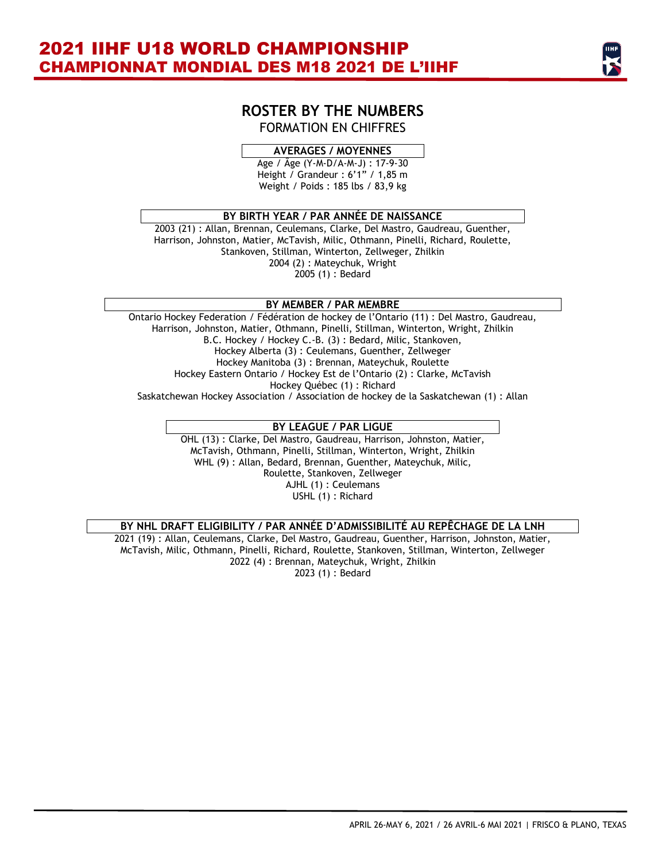### **ROSTER BY THE NUMBERS** FORMATION EN CHIFFRES

### **AVERAGES / MOYENNES**

Age / Âge (Y-M-D/A-M-J) : 17-9-30 Height / Grandeur : 6'1" / 1,85 m Weight / Poids : 185 lbs / 83,9 kg

#### **BY BIRTH YEAR / PAR ANNÉE DE NAISSANCE**

2003 (21) : Allan, Brennan, Ceulemans, Clarke, Del Mastro, Gaudreau, Guenther, Harrison, Johnston, Matier, McTavish, Milic, Othmann, Pinelli, Richard, Roulette, Stankoven, Stillman, Winterton, Zellweger, Zhilkin 2004 (2) : Mateychuk, Wright 2005 (1) : Bedard

#### **BY MEMBER / PAR MEMBRE**

Ontario Hockey Federation / Fédération de hockey de l'Ontario (11) : Del Mastro, Gaudreau, Harrison, Johnston, Matier, Othmann, Pinelli, Stillman, Winterton, Wright, Zhilkin B.C. Hockey / Hockey C.-B. (3) : Bedard, Milic, Stankoven, Hockey Alberta (3) : Ceulemans, Guenther, Zellweger Hockey Manitoba (3) : Brennan, Mateychuk, Roulette Hockey Eastern Ontario / Hockey Est de l'Ontario (2) : Clarke, McTavish Hockey Québec (1) : Richard Saskatchewan Hockey Association / Association de hockey de la Saskatchewan (1) : Allan

#### **BY LEAGUE / PAR LIGUE**

OHL (13) : Clarke, Del Mastro, Gaudreau, Harrison, Johnston, Matier, McTavish, Othmann, Pinelli, Stillman, Winterton, Wright, Zhilkin WHL (9) : Allan, Bedard, Brennan, Guenther, Mateychuk, Milic, Roulette, Stankoven, Zellweger AJHL (1) : Ceulemans USHL (1) : Richard

#### **BY NHL DRAFT ELIGIBILITY / PAR ANNÉE D'ADMISSIBILITÉ AU REPÊCHAGE DE LA LNH**

2021 (19) : Allan, Ceulemans, Clarke, Del Mastro, Gaudreau, Guenther, Harrison, Johnston, Matier, McTavish, Milic, Othmann, Pinelli, Richard, Roulette, Stankoven, Stillman, Winterton, Zellweger 2022 (4) : Brennan, Mateychuk, Wright, Zhilkin 2023 (1) : Bedard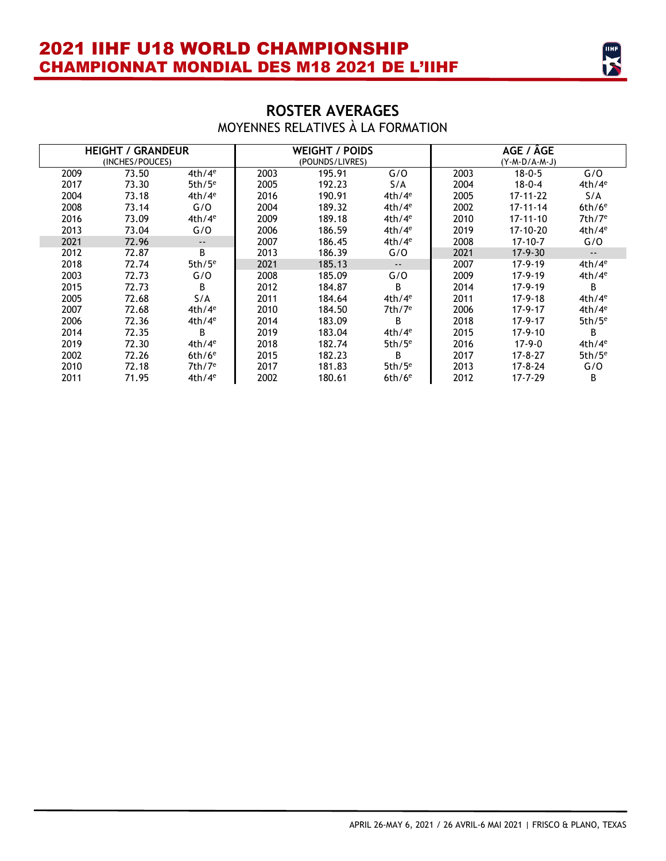

### **ROSTER AVERAGES**  MOYENNES RELATIVES À LA FORMATION

|      | <b>HEIGHT / GRANDEUR</b><br>(INCHES/POUCES) |            |      | <b>WEIGHT / POIDS</b><br>(POUNDS/LIVRES) |                      | AGE / ÂGE<br>$(Y - M - D/A - M - J)$ |                |                            |  |
|------|---------------------------------------------|------------|------|------------------------------------------|----------------------|--------------------------------------|----------------|----------------------------|--|
| 2009 | 73.50                                       | $4th/4^e$  | 2003 | 195.91                                   | G/O                  | 2003                                 | $18 - 0 - 5$   | G/O                        |  |
| 2017 | 73.30                                       | 5th/ $5^e$ | 2005 | 192.23                                   | S/A                  | 2004                                 | $18 - 0 - 4$   | $4th/4^e$                  |  |
| 2004 | 73.18                                       | $4th/4^e$  | 2016 | 190.91                                   | $4th/4^e$            | 2005                                 | $17 - 11 - 22$ | S/A                        |  |
| 2008 | 73.14                                       | G/O        | 2004 | 189.32                                   | 4th/4 <sup>e</sup>   | 2002                                 | $17 - 11 - 14$ | $6th/6^e$                  |  |
| 2016 | 73.09                                       | $4th/4^e$  | 2009 | 189.18                                   | 4th/4 <sup>e</sup>   | 2010                                 | $17 - 11 - 10$ | 7th/7 <sup>e</sup>         |  |
| 2013 | 73.04                                       | G/O        | 2006 | 186.59                                   | 4th/4 <sup>e</sup>   | 2019                                 | 17-10-20       | $4th/4^e$                  |  |
| 2021 | 72.96                                       | $- -$      | 2007 | 186.45                                   | 4th/4 <sup>e</sup>   | 2008                                 | $17 - 10 - 7$  | G/O                        |  |
| 2012 | 72.87                                       | B          | 2013 | 186.39                                   | G/O                  | 2021                                 | $17-9-30$      | $\overline{\phantom{a}}$ . |  |
| 2018 | 72.74                                       | $5th/5^e$  | 2021 | 185.13                                   | $\sim$ $\sim$        | 2007                                 | $17-9-19$      | $4th/4^e$                  |  |
| 2003 | 72.73                                       | G/O        | 2008 | 185.09                                   | G/O                  | 2009                                 | $17-9-19$      | $4th/4^e$                  |  |
| 2015 | 72.73                                       | B.         | 2012 | 184.87                                   | B.                   | 2014                                 | 17-9-19        | B                          |  |
| 2005 | 72.68                                       | S/A        | 2011 | 184.64                                   | 4th/4 <sup>e</sup>   | 2011                                 | $17-9-18$      | 4th/4 <sup>e</sup>         |  |
| 2007 | 72.68                                       | $4th/4^e$  | 2010 | 184.50                                   | $7th/7$ <sup>e</sup> | 2006                                 | $17-9-17$      | $4th/4^e$                  |  |
| 2006 | 72.36                                       | $4th/4^e$  | 2014 | 183.09                                   | B                    | 2018                                 | $17 - 9 - 17$  | $5th/5^e$                  |  |
| 2014 | 72.35                                       | B.         | 2019 | 183.04                                   | 4th/4 <sup>e</sup>   | 2015                                 | $17-9-10$      | B.                         |  |
| 2019 | 72.30                                       | $4th/4^e$  | 2018 | 182.74                                   | $5th/5^e$            | 2016                                 | $17-9-0$       | $4th/4^e$                  |  |
| 2002 | 72.26                                       | $6th/6^e$  | 2015 | 182.23                                   | B                    | 2017                                 | $17 - 8 - 27$  | $5th/5^e$                  |  |
| 2010 | 72.18                                       | $7th/7^e$  | 2017 | 181.83                                   | $5th/5^e$            | 2013                                 | $17 - 8 - 24$  | G/O                        |  |
| 2011 | 71.95                                       | $4th/4^e$  | 2002 | 180.61                                   | $6th/6$ <sup>e</sup> | 2012                                 | $17 - 7 - 29$  | B                          |  |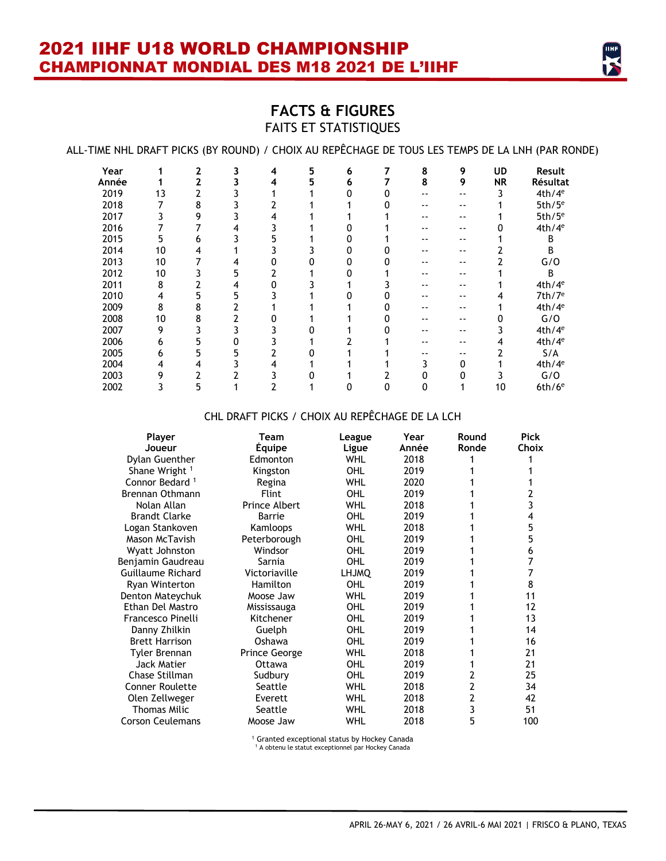

### **FACTS & FIGURES** FAITS ET STATISTIQUES

ALL-TIME NHL DRAFT PICKS (BY ROUND) / CHOIX AU REPÊCHAGE DE TOUS LES TEMPS DE LA LNH (PAR RONDE)

| Year  |    | $\mathbf{2}$ | 3 | 4 | 5 | 6 |   | 8 | 9  | <b>UD</b> | Result               |
|-------|----|--------------|---|---|---|---|---|---|----|-----------|----------------------|
| Année |    | 2            |   | 4 | 5 | 6 |   | 8 | 9  | <b>NR</b> | Résultat             |
| 2019  | 13 |              |   |   |   |   |   |   |    |           | 4th/4 <sup>e</sup>   |
| 2018  |    | 8            |   |   |   |   |   |   | -- |           | 5th/5 <sup>e</sup>   |
| 2017  |    | 9            |   |   |   |   |   |   | -- |           | 5th/5 <sup>e</sup>   |
| 2016  |    |              | 4 |   |   |   |   |   | -- |           | 4th/4 <sup>e</sup>   |
| 2015  | 5  | h            |   |   |   |   |   |   | -- |           | B                    |
| 2014  | 10 |              |   |   |   |   |   |   |    |           | B                    |
| 2013  | 10 |              | 4 |   |   |   |   |   | -- |           | G/O                  |
| 2012  | 10 |              | 5 |   |   |   |   |   | -- |           | B                    |
| 2011  | 8  |              | 4 |   |   |   |   |   | -- |           | 4th/4 <sup>e</sup>   |
| 2010  |    |              |   |   |   |   |   |   | -- | 4         | 7th/7 <sup>e</sup>   |
| 2009  | 8  | 8            |   |   |   |   |   |   | -- |           | 4th/4 <sup>e</sup>   |
| 2008  | 10 | 8            |   |   |   |   |   |   |    |           | G/O                  |
| 2007  | 9  |              |   |   |   |   |   |   |    |           | 4th/4 <sup>e</sup>   |
| 2006  | h  | 5            |   |   |   |   |   |   | -- | 4         | 4th/4 <sup>e</sup>   |
| 2005  | 6  | 5.           |   |   |   |   |   |   | -- |           | S/A                  |
| 2004  | 4  |              |   |   |   |   |   |   | 0  |           | 4th/4 <sup>e</sup>   |
| 2003  | 9  |              |   |   |   |   |   |   |    |           | G/O                  |
| 2002  |    |              |   |   |   |   | o | O |    | 10        | $6th/6$ <sup>e</sup> |

### CHL DRAFT PICKS / CHOIX AU REPÊCHAGE DE LA LCH

| Player                     | Team                 | League       | Year  | Round | <b>Pick</b> |
|----------------------------|----------------------|--------------|-------|-------|-------------|
| Joueur                     | <b>Equipe</b>        | Ligue        | Année | Ronde | Choix       |
| Dylan Guenther             | Edmonton             | <b>WHL</b>   | 2018  |       |             |
| Shane Wright <sup>1</sup>  | Kingston             | OHL          | 2019  |       |             |
| Connor Bedard <sup>1</sup> | Regina               | <b>WHL</b>   | 2020  |       |             |
| <b>Brennan Othmann</b>     | <b>Flint</b>         | OHL          | 2019  |       | 2           |
| Nolan Allan                | <b>Prince Albert</b> | <b>WHL</b>   | 2018  |       | 3           |
| <b>Brandt Clarke</b>       | Barrie               | OHL          | 2019  |       | 4           |
| Logan Stankoven            | Kamloops             | <b>WHL</b>   | 2018  |       | 5           |
| Mason McTavish             | Peterborough         | OHL          | 2019  |       | 5           |
| Wyatt Johnston             | Windsor              | OHL          | 2019  |       | 6           |
| Benjamin Gaudreau          | Sarnia               | OHL          | 2019  |       | 7           |
| Guillaume Richard          | Victoriaville        | <b>LHJMQ</b> | 2019  |       | 7           |
| <b>Ryan Winterton</b>      | Hamilton             | OHL          | 2019  |       | 8           |
| Denton Mateychuk           | Moose Jaw            | <b>WHL</b>   | 2019  |       | 11          |
| Ethan Del Mastro           | Mississauga          | OHL          | 2019  |       | 12          |
| Francesco Pinelli          | Kitchener            | OHL          | 2019  |       | 13          |
| Danny Zhilkin              | Guelph               | OHL          | 2019  |       | 14          |
| <b>Brett Harrison</b>      | Oshawa               | OHL          | 2019  |       | 16          |
| Tyler Brennan              | Prince George        | <b>WHL</b>   | 2018  |       | 21          |
| <b>Jack Matier</b>         | Ottawa               | OHL          | 2019  |       | 21          |
| Chase Stillman             | Sudbury              | OHL          | 2019  | 2     | 25          |
| <b>Conner Roulette</b>     | Seattle              | <b>WHL</b>   | 2018  | 2     | 34          |
| Olen Zellweger             | Everett              | <b>WHL</b>   | 2018  | 2     | 42          |
| Thomas Milic               | Seattle              | <b>WHL</b>   | 2018  | 3     | 51          |
| <b>Corson Ceulemans</b>    | Moose Jaw            | WHL          | 2018  | 5     | 100         |

<sup>1</sup> Granted exceptional status by Hockey Canada

<sup>1</sup> A obtenu le statut exceptionnel par Hockey Canada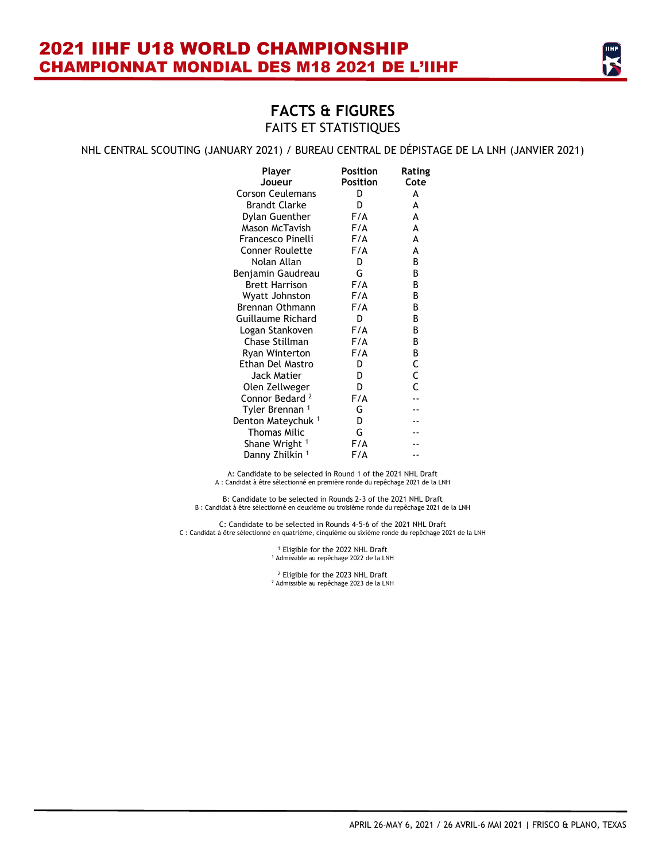

#### NHL CENTRAL SCOUTING (JANUARY 2021) / BUREAU CENTRAL DE DÉPISTAGE DE LA LNH (JANVIER 2021)

| Player<br>Joueur              | Position<br>Position | Rating<br>Cote |
|-------------------------------|----------------------|----------------|
| <b>Corson Ceulemans</b>       | D                    | A              |
| <b>Brandt Clarke</b>          | D                    | A              |
| <b>Dylan Guenther</b>         | F/A                  | A              |
| Mason McTavish                | F/A                  | A              |
| Francesco Pinelli             | F/A                  | A              |
| Conner Roulette               | F/A                  | A              |
| Nolan Allan                   | D                    | В              |
| Benjamin Gaudreau             | G                    | B              |
| <b>Brett Harrison</b>         | F/A                  | В              |
| Wyatt Johnston                | F/A                  | В              |
| <b>Brennan Othmann</b>        | F/A                  | В              |
| Guillaume Richard             | D                    | В              |
| Logan Stankoven               | F/A                  | В              |
| Chase Stillman                | F/A                  | В              |
| Ryan Winterton                | F/A                  | B              |
| Ethan Del Mastro              | D                    | C              |
| Jack Matier                   | D                    | C              |
| Olen Zellweger                | D                    | Ċ              |
| Connor Bedard <sup>2</sup>    | F/A                  |                |
| Tyler Brennan <sup>1</sup>    | G                    |                |
| Denton Mateychuk <sup>1</sup> | D                    |                |
| <b>Thomas Milic</b>           | G                    |                |
| Shane Wright <sup>1</sup>     | F/A                  |                |
| Danny Zhilkin <sup>1</sup>    | F/A                  |                |

A: Candidate to be selected in Round 1 of the 2021 NHL Draft A : Candidat à être sélectionné en première ronde du repêchage 2021 de la LNH

B: Candidate to be selected in Rounds 2-3 of the 2021 NHL Draft B : Candidat à être sélectionné en deuxième ou troisième ronde du repêchage 2021 de la LNH

C: Candidate to be selected in Rounds 4-5-6 of the 2021 NHL Draft C : Candidat à être sélectionné en quatrième, cinquième ou sixième ronde du repêchage 2021 de la LNH

> <sup>1</sup> Eligible for the 2022 NHL Draft <sup>1</sup> Admissible au repêchage 2022 de la LNH

> <sup>2</sup> Eligible for the 2023 NHL Draft<br><sup>2</sup> Admissible au repêchage 2023 de la LNH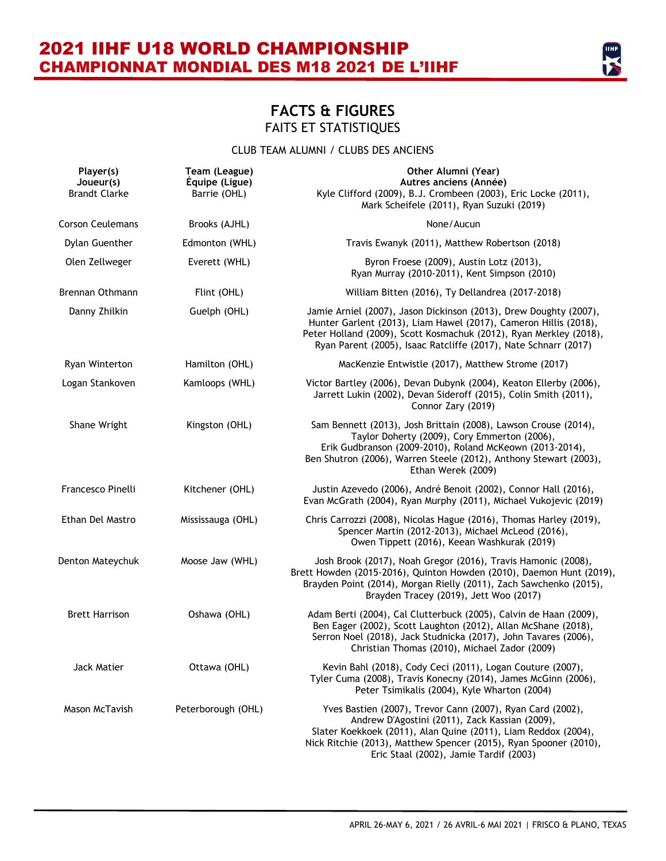

### CLUB TEAM ALUMNI / CLUBS DES ANCIENS

| Player(s)<br>Joueur(s)<br><b>Brandt Clarke</b> | Team (League)<br>Équipe (Ligue)<br>Barrie (OHL) | Other Alumni (Year)<br>Autres anciens (Année)<br>Kyle Clifford (2009), B.J. Crombeen (2003), Eric Locke (2011),<br>Mark Scheifele (2011), Ryan Suzuki (2019)                                                                                                                                  |
|------------------------------------------------|-------------------------------------------------|-----------------------------------------------------------------------------------------------------------------------------------------------------------------------------------------------------------------------------------------------------------------------------------------------|
| <b>Corson Ceulemans</b>                        | Brooks (AJHL)                                   | None/Aucun                                                                                                                                                                                                                                                                                    |
| Dylan Guenther                                 | Edmonton (WHL)                                  | Travis Ewanyk (2011), Matthew Robertson (2018)                                                                                                                                                                                                                                                |
| Olen Zellweger                                 | Everett (WHL)                                   | Byron Froese (2009), Austin Lotz (2013),<br>Ryan Murray (2010-2011), Kent Simpson (2010)                                                                                                                                                                                                      |
| <b>Brennan Othmann</b>                         | Flint (OHL)                                     | William Bitten (2016), Ty Dellandrea (2017-2018)                                                                                                                                                                                                                                              |
| Danny Zhilkin                                  | Guelph (OHL)                                    | Jamie Arniel (2007), Jason Dickinson (2013), Drew Doughty (2007),<br>Hunter Garlent (2013), Liam Hawel (2017), Cameron Hillis (2018),<br>Peter Holland (2009), Scott Kosmachuk (2012), Ryan Merkley (2018),<br>Ryan Parent (2005), Isaac Ratcliffe (2017), Nate Schnarr (2017)                |
| Ryan Winterton                                 | Hamilton (OHL)                                  | MacKenzie Entwistle (2017), Matthew Strome (2017)                                                                                                                                                                                                                                             |
| Logan Stankoven                                | Kamloops (WHL)                                  | Victor Bartley (2006), Devan Dubynk (2004), Keaton Ellerby (2006),<br>Jarrett Lukin (2002), Devan Sideroff (2015), Colin Smith (2011),<br>Connor Zary (2019)                                                                                                                                  |
| Shane Wright                                   | Kingston (OHL)                                  | Sam Bennett (2013), Josh Brittain (2008), Lawson Crouse (2014),<br>Taylor Doherty (2009), Cory Emmerton (2006),<br>Erik Gudbranson (2009-2010), Roland McKeown (2013-2014),<br>Ben Shutron (2006), Warren Steele (2012), Anthony Stewart (2003),<br>Ethan Werek (2009)                        |
| Francesco Pinelli                              | Kitchener (OHL)                                 | Justin Azevedo (2006), André Benoit (2002), Connor Hall (2016),<br>Evan McGrath (2004), Ryan Murphy (2011), Michael Vukojevic (2019)                                                                                                                                                          |
| Ethan Del Mastro                               | Mississauga (OHL)                               | Chris Carrozzi (2008), Nicolas Hague (2016), Thomas Harley (2019),<br>Spencer Martin (2012-2013), Michael McLeod (2016),<br>Owen Tippett (2016), Keean Washkurak (2019)                                                                                                                       |
| Denton Mateychuk                               | Moose Jaw (WHL)                                 | Josh Brook (2017), Noah Gregor (2016), Travis Hamonic (2008),<br>Brett Howden (2015-2016), Quinton Howden (2010), Daemon Hunt (2019),<br>Brayden Point (2014), Morgan Rielly (2011), Zach Sawchenko (2015),<br>Brayden Tracey (2019), Jett Woo (2017)                                         |
| <b>Brett Harrison</b>                          | Oshawa (OHL)                                    | Adam Berti (2004), Cal Clutterbuck (2005), Calvin de Haan (2009),<br>Ben Eager (2002), Scott Laughton (2012), Allan McShane (2018),<br>Serron Noel (2018), Jack Studnicka (2017), John Tavares (2006),<br>Christian Thomas (2010), Michael Zador (2009)                                       |
| Jack Matier                                    | Ottawa (OHL)                                    | Kevin Bahl (2018), Cody Ceci (2011), Logan Couture (2007),<br>Tyler Cuma (2008), Travis Konecny (2014), James McGinn (2006),<br>Peter Tsimikalis (2004), Kyle Wharton (2004)                                                                                                                  |
| Mason McTavish                                 | Peterborough (OHL)                              | Yves Bastien (2007), Trevor Cann (2007), Ryan Card (2002),<br>Andrew D'Agostini (2011), Zack Kassian (2009),<br>Slater Koekkoek (2011), Alan Quine (2011), Liam Reddox (2004),<br>Nick Ritchie (2013), Matthew Spencer (2015), Ryan Spooner (2010),<br>Eric Staal (2002), Jamie Tardif (2003) |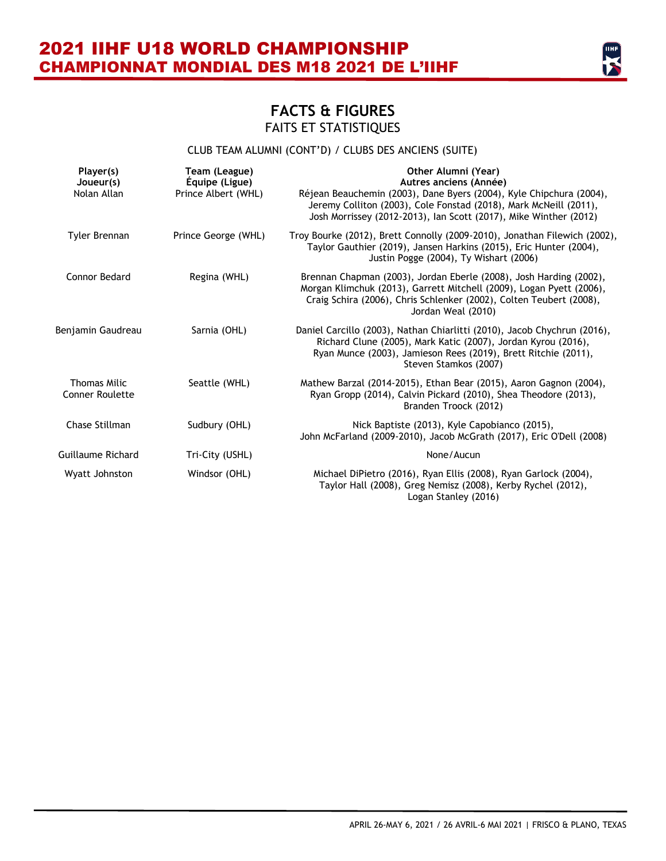

### CLUB TEAM ALUMNI (CONT'D) / CLUBS DES ANCIENS (SUITE)

| Player(s)<br>Joueur(s)<br>Nolan Allan         | Team (League)<br>Équipe (Ligue)<br>Prince Albert (WHL) | Other Alumni (Year)<br>Autres anciens (Année)<br>Réjean Beauchemin (2003), Dane Byers (2004), Kyle Chipchura (2004),<br>Jeremy Colliton (2003), Cole Fonstad (2018), Mark McNeill (2011),<br>Josh Morrissey (2012-2013), Ian Scott (2017), Mike Winther (2012) |
|-----------------------------------------------|--------------------------------------------------------|----------------------------------------------------------------------------------------------------------------------------------------------------------------------------------------------------------------------------------------------------------------|
| Tyler Brennan                                 | Prince George (WHL)                                    | Troy Bourke (2012), Brett Connolly (2009-2010), Jonathan Filewich (2002),<br>Taylor Gauthier (2019), Jansen Harkins (2015), Eric Hunter (2004),<br>Justin Pogge (2004), Ty Wishart (2006)                                                                      |
| Connor Bedard                                 | Regina (WHL)                                           | Brennan Chapman (2003), Jordan Eberle (2008), Josh Harding (2002),<br>Morgan Klimchuk (2013), Garrett Mitchell (2009), Logan Pyett (2006),<br>Craig Schira (2006), Chris Schlenker (2002), Colten Teubert (2008),<br>Jordan Weal (2010)                        |
| Benjamin Gaudreau                             | Sarnia (OHL)                                           | Daniel Carcillo (2003), Nathan Chiarlitti (2010), Jacob Chychrun (2016),<br>Richard Clune (2005), Mark Katic (2007), Jordan Kyrou (2016),<br>Ryan Munce (2003), Jamieson Rees (2019), Brett Ritchie (2011),<br>Steven Stamkos (2007)                           |
| <b>Thomas Milic</b><br><b>Conner Roulette</b> | Seattle (WHL)                                          | Mathew Barzal (2014-2015), Ethan Bear (2015), Aaron Gagnon (2004),<br>Ryan Gropp (2014), Calvin Pickard (2010), Shea Theodore (2013),<br>Branden Troock (2012)                                                                                                 |
| Chase Stillman                                | Sudbury (OHL)                                          | Nick Baptiste (2013), Kyle Capobianco (2015),<br>John McFarland (2009-2010), Jacob McGrath (2017), Eric O'Dell (2008)                                                                                                                                          |
| <b>Guillaume Richard</b>                      | Tri-City (USHL)                                        | None/Aucun                                                                                                                                                                                                                                                     |
| <b>Wyatt Johnston</b>                         | Windsor (OHL)                                          | Michael DiPietro (2016), Ryan Ellis (2008), Ryan Garlock (2004),<br>Taylor Hall (2008), Greg Nemisz (2008), Kerby Rychel (2012),<br>Logan Stanley (2016)                                                                                                       |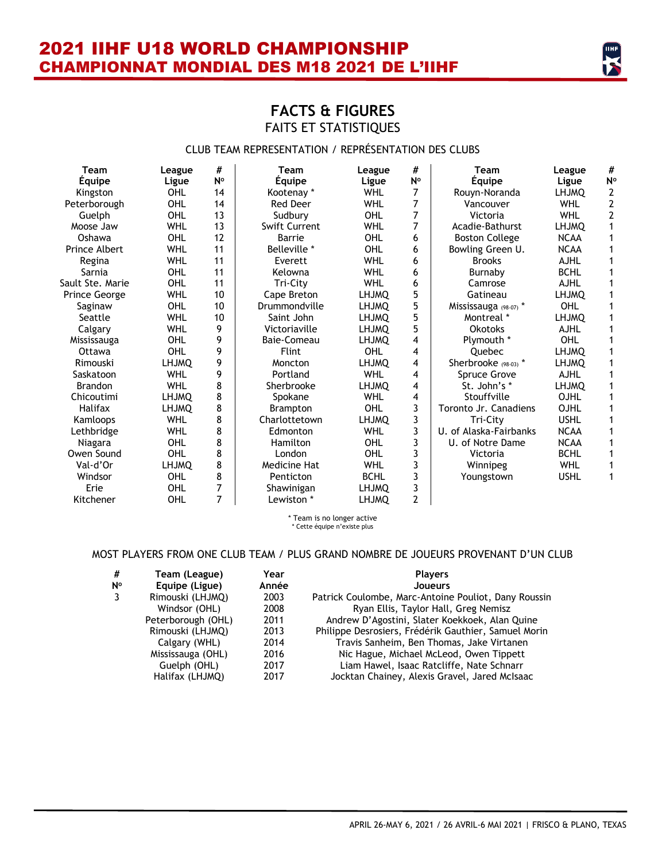

### **FACTS & FIGURES** FAITS ET STATISTIQUES

### CLUB TEAM REPRESENTATION / REPRÉSENTATION DES CLUBS

| <b>Team</b>          | League       | #  | <b>Team</b>     | League       | #  | <b>Team</b>            | League       | #              |
|----------------------|--------------|----|-----------------|--------------|----|------------------------|--------------|----------------|
| <b>Équipe</b>        | Ligue        | N° | <b>Équipe</b>   | Ligue        | N° | <b>Équipe</b>          | Ligue        | N <sup>o</sup> |
| Kingston             | OHL          | 14 | Kootenay *      | <b>WHL</b>   | 7  | Rouyn-Noranda          | <b>LHJMQ</b> | 2              |
| Peterborough         | OHL          | 14 | <b>Red Deer</b> | <b>WHL</b>   | 7  | Vancouver              | <b>WHL</b>   | $\overline{2}$ |
| Guelph               | OHL          | 13 | Sudbury         | OHL          | 7  | Victoria               | <b>WHL</b>   | $\overline{2}$ |
| Moose Jaw            | <b>WHL</b>   | 13 | Swift Current   | <b>WHL</b>   | 7  | Acadie-Bathurst        | <b>LHJMO</b> | 1              |
| Oshawa               | OHL          | 12 | Barrie          | OHL          | 6  | <b>Boston College</b>  | <b>NCAA</b>  | 1              |
| Prince Albert        | <b>WHL</b>   | 11 | Belleville *    | OHL          | 6  | Bowling Green U.       | <b>NCAA</b>  | 1              |
| Regina               | <b>WHL</b>   | 11 | Everett         | <b>WHL</b>   | 6  | <b>Brooks</b>          | <b>AJHL</b>  |                |
| Sarnia               | OHL          | 11 | Kelowna         | <b>WHL</b>   | 6  | Burnaby                | <b>BCHL</b>  | 1              |
| Sault Ste. Marie     | OHL          | 11 | Tri-City        | <b>WHL</b>   | 6  | Camrose                | <b>AJHL</b>  |                |
| <b>Prince George</b> | <b>WHL</b>   | 10 | Cape Breton     | <b>LHJMQ</b> | 5  | Gatineau               | <b>LHJMQ</b> |                |
| Saginaw              | OHL          | 10 | Drummondville   | <b>LHJMO</b> | 5  | Mississauga (98-07) *  | OHL          | 1              |
| Seattle              | <b>WHL</b>   | 10 | Saint John      | <b>LHJMO</b> | 5  | Montreal *             | <b>LHJMQ</b> | 1              |
| Calgary              | <b>WHL</b>   | 9  | Victoriaville   | <b>LHJMQ</b> | 5  | <b>Okotoks</b>         | <b>AJHL</b>  |                |
| Mississauga          | OHL          | 9  | Baie-Comeau     | <b>LHJMQ</b> | 4  | Plymouth *             | OHL          |                |
| Ottawa               | OHL          | 9  | <b>Flint</b>    | OHL          | 4  | <b>Ouebec</b>          | <b>LHJMO</b> |                |
| Rimouski             | <b>LHJMO</b> | 9  | Moncton         | <b>LHJMO</b> | 4  | Sherbrooke (98-03) *   | <b>LHJMO</b> | 1              |
| Saskatoon            | <b>WHL</b>   | 9  | Portland        | <b>WHL</b>   | 4  | Spruce Grove           | <b>AJHL</b>  |                |
| <b>Brandon</b>       | <b>WHL</b>   | 8  | Sherbrooke      | <b>LHJMO</b> | 4  | St. John's *           | <b>LHJMO</b> |                |
| Chicoutimi           | <b>LHJMO</b> | 8  | Spokane         | <b>WHL</b>   | 4  | Stouffville            | OJHL         |                |
| <b>Halifax</b>       | <b>LHJMO</b> | 8  | <b>Brampton</b> | OHL          | 3  | Toronto Jr. Canadiens  | OJHL         |                |
| Kamloops             | <b>WHL</b>   | 8  | Charlottetown   | <b>LHJMO</b> | 3  | Tri-City               | <b>USHL</b>  |                |
| Lethbridge           | <b>WHL</b>   | 8  | Edmonton        | <b>WHL</b>   | 3  | U. of Alaska-Fairbanks | <b>NCAA</b>  |                |
| Niagara              | OHL          | 8  | Hamilton        | OHL          | 3  | U. of Notre Dame       | <b>NCAA</b>  |                |
| Owen Sound           | OHL          | 8  | London          | OHL          | 3  | Victoria               | <b>BCHL</b>  |                |
| Val-d'Or             | LHJMQ        | 8  | Medicine Hat    | <b>WHL</b>   | 3  | Winnipeg               | <b>WHL</b>   | 1              |
| Windsor              | OHL          | 8  | Penticton       | <b>BCHL</b>  | 3  | Youngstown             | <b>USHL</b>  | 1              |
| Erie                 | OHL          | 7  | Shawinigan      | <b>LHJMO</b> | 3  |                        |              |                |
| Kitchener            | OHL          | 7  | Lewiston *      | <b>LHJMQ</b> | 2  |                        |              |                |

\* Team is no longer active \* Cette équipe n'existe plus

#### MOST PLAYERS FROM ONE CLUB TEAM / PLUS GRAND NOMBRE DE JOUEURS PROVENANT D'UN CLUB

| #<br>N°<br>3 | Team (League)<br>Equipe (Ligue)<br>Rimouski (LHJMQ)<br>Windsor (OHL)<br>Peterborough (OHL)<br>Rimouski (LHJMQ)<br>Calgary (WHL)<br>Mississauga (OHL) | Year<br>Année<br>2003<br>2008<br>2011<br>2013<br>2014<br>2016 | <b>Players</b><br>Joueurs<br>Patrick Coulombe, Marc-Antoine Pouliot, Dany Roussin<br>Ryan Ellis, Taylor Hall, Greg Nemisz<br>Andrew D'Agostini, Slater Koekkoek, Alan Quine<br>Philippe Desrosiers, Frédérik Gauthier, Samuel Morin<br>Travis Sanheim, Ben Thomas, Jake Virtanen<br>Nic Hague, Michael McLeod, Owen Tippett |
|--------------|------------------------------------------------------------------------------------------------------------------------------------------------------|---------------------------------------------------------------|-----------------------------------------------------------------------------------------------------------------------------------------------------------------------------------------------------------------------------------------------------------------------------------------------------------------------------|
|              | Guelph (OHL)                                                                                                                                         | 2017                                                          | Liam Hawel, Isaac Ratcliffe, Nate Schnarr                                                                                                                                                                                                                                                                                   |
|              | Halifax (LHJMQ)                                                                                                                                      | 2017                                                          | Jocktan Chainey, Alexis Gravel, Jared McIsaac                                                                                                                                                                                                                                                                               |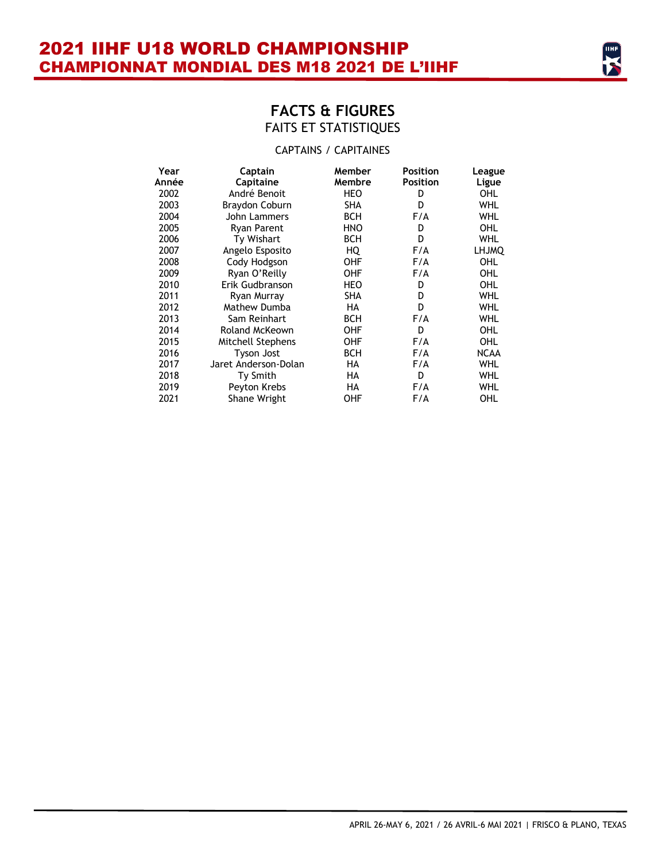### CAPTAINS / CAPITAINES

| Year  | Captain              | Member     | <b>Position</b> | League       |
|-------|----------------------|------------|-----------------|--------------|
| Année | Capitaine            | Membre     | <b>Position</b> | Ligue        |
| 2002  | André Benoit         | HEO        | D               | OHL          |
| 2003  | Braydon Coburn       | SHA        | D               | WHL          |
| 2004  | John Lammers         | <b>BCH</b> | F/A             | WHL          |
| 2005  | <b>Ryan Parent</b>   | <b>HNO</b> | D               | OHL          |
| 2006  | Ty Wishart           | <b>BCH</b> | D               | WHL          |
| 2007  | Angelo Esposito      | HQ         | F/A             | <b>LHJMQ</b> |
| 2008  | Cody Hodgson         | OHF        | F/A             | OHL          |
| 2009  | Ryan O'Reilly        | OHF        | F/A             | OHL          |
| 2010  | Erik Gudbranson      | HEO        | D               | OHL          |
| 2011  | Ryan Murray          | SHA        | D               | WHL          |
| 2012  | Mathew Dumba         | HA         | D               | WHL          |
| 2013  | Sam Reinhart         | <b>BCH</b> | F/A             | WHL          |
| 2014  | Roland McKeown       | OHF        | D               | OHL          |
| 2015  | Mitchell Stephens    | OHF        | F/A             | OHL          |
| 2016  | Tyson Jost           | <b>BCH</b> | F/A             | NCAA         |
| 2017  | Jaret Anderson-Dolan | HA         | F/A             | WHL          |
| 2018  | <b>Ty Smith</b>      | HA         | D               | WHL          |
| 2019  | Peyton Krebs         | HA         | F/A             | WHL          |
| 2021  | Shane Wright         | OHF        | F/A             | OHL          |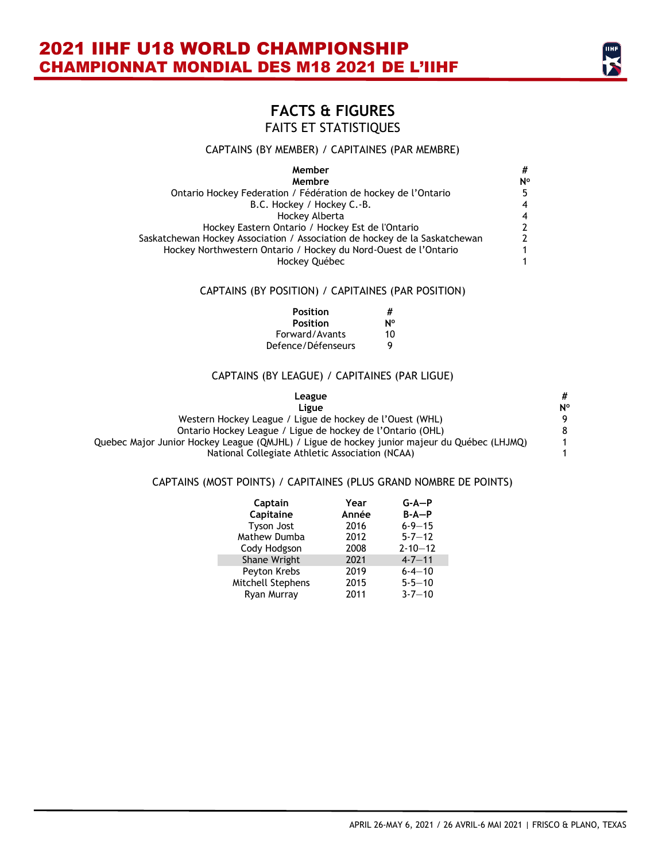# **FACTS & FIGURES**

FAITS ET STATISTIQUES

#### CAPTAINS (BY MEMBER) / CAPITAINES (PAR MEMBRE)

| Member                                                                     | #              |
|----------------------------------------------------------------------------|----------------|
| Membre                                                                     | N°             |
| Ontario Hockey Federation / Fédération de hockey de l'Ontario              | 5.             |
| B.C. Hockey / Hockey C.-B.                                                 | $\overline{4}$ |
| Hockey Alberta                                                             | $\overline{4}$ |
| Hockey Eastern Ontario / Hockey Est de l'Ontario                           | 2              |
| Saskatchewan Hockey Association / Association de hockey de la Saskatchewan | $\mathcal{P}$  |
| Hockey Northwestern Ontario / Hockey du Nord-Ouest de l'Ontario            | 1              |
| Hockey Québec                                                              | 1              |

#### CAPTAINS (BY POSITION) / CAPITAINES (PAR POSITION)

| Position           | #  |
|--------------------|----|
| <b>Position</b>    | N٥ |
| Forward/Avants     | 10 |
| Defence/Défenseurs | Q  |

#### CAPTAINS (BY LEAGUE) / CAPITAINES (PAR LIGUE)

| League                                                                                      | #  |
|---------------------------------------------------------------------------------------------|----|
| Ligue                                                                                       | N° |
| Western Hockey League / Ligue de hockey de l'Ouest (WHL)                                    |    |
| Ontario Hockey League / Ligue de hockey de l'Ontario (OHL)                                  | 8  |
| Quebec Major Junior Hockey League (QMJHL) / Ligue de hockey junior majeur du Québec (LHJMQ) |    |
| National Collegiate Athletic Association (NCAA)                                             |    |

#### CAPTAINS (MOST POINTS) / CAPITAINES (PLUS GRAND NOMBRE DE POINTS)

| Captain           | Year  | $G-A-P$       |
|-------------------|-------|---------------|
| Capitaine         | Année | $B - A - P$   |
| <b>Tyson Jost</b> | 2016  | $6 - 9 - 15$  |
| Mathew Dumba      | 2012  | $5 - 7 - 12$  |
| Cody Hodgson      | 2008  | $2 - 10 - 12$ |
| Shane Wright      | 2021  | $4 - 7 - 11$  |
| Peyton Krebs      | 2019  | $6 - 4 - 10$  |
| Mitchell Stephens | 2015  | $5 - 5 - 10$  |
| Ryan Murray       | 2011  | $3 - 7 - 10$  |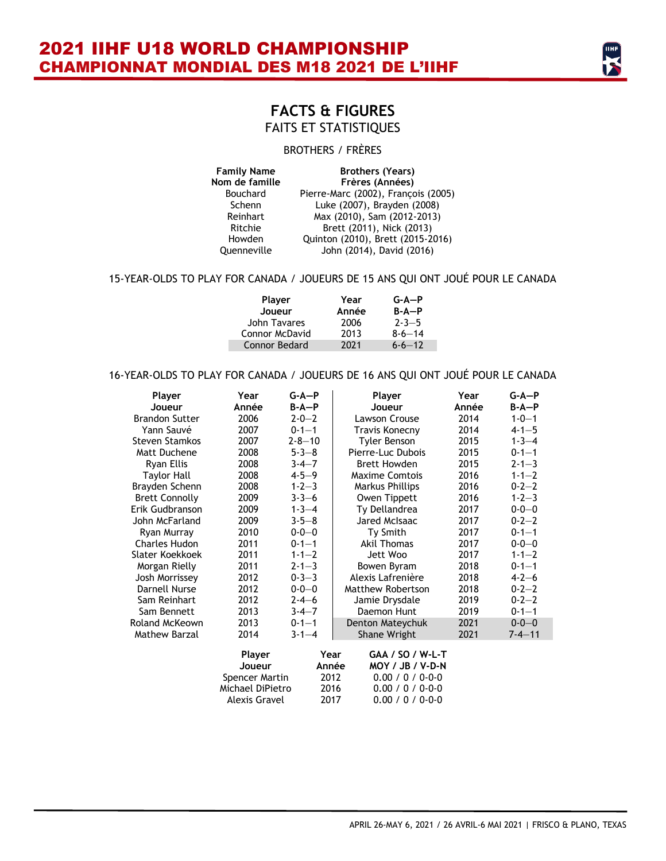

### BROTHERS / FRÈRES

| <b>Family Name</b> | <b>Brothers (Years)</b>             |  |  |
|--------------------|-------------------------------------|--|--|
| Nom de famille     | Frères (Années)                     |  |  |
| <b>Bouchard</b>    | Pierre-Marc (2002), François (2005) |  |  |
| Schenn             | Luke (2007), Brayden (2008)         |  |  |
| Reinhart           | Max (2010), Sam (2012-2013)         |  |  |
| Ritchie            | Brett (2011), Nick (2013)           |  |  |
| Howden             | Quinton (2010), Brett (2015-2016)   |  |  |
| Ouenneville        | John (2014), David (2016)           |  |  |

#### 15-YEAR-OLDS TO PLAY FOR CANADA / JOUEURS DE 15 ANS QUI ONT JOUÉ POUR LE CANADA

| Player<br>Joueur | Year<br>Année | $G-A-P$<br>$B - A - P$ |  |
|------------------|---------------|------------------------|--|
| John Tavares     | 2006          | $2 - 3 - 5$            |  |
| Connor McDavid   | 2013          | $8 - 6 - 14$           |  |
| Connor Bedard    | 2021          | $6 - 6 - 12$           |  |

#### 16-YEAR-OLDS TO PLAY FOR CANADA / JOUEURS DE 16 ANS QUI ONT JOUÉ POUR LE CANADA

| Player                | Year                 | $G - A - P$  | Player                | Year  | $G-A-P$      |
|-----------------------|----------------------|--------------|-----------------------|-------|--------------|
| Joueur                | Année                | $B-A-P$      | Joueur                | Année | $B-A-P$      |
| <b>Brandon Sutter</b> | 2006                 | $2 - 0 - 2$  | Lawson Crouse         | 2014  | $1 - 0 - 1$  |
| Yann Sauvé            | 2007                 | $0 - 1 - 1$  | Travis Konecny        | 2014  | $4 - 1 - 5$  |
| <b>Steven Stamkos</b> | 2007                 | $2 - 8 - 10$ | Tyler Benson          | 2015  | $1 - 3 - 4$  |
| Matt Duchene          | 2008                 | $5 - 3 - 8$  | Pierre-Luc Dubois     | 2015  | $0 - 1 - 1$  |
| Ryan Ellis            | 2008                 | $3 - 4 - 7$  | <b>Brett Howden</b>   | 2015  | $2 - 1 - 3$  |
| <b>Taylor Hall</b>    | 2008                 | $4 - 5 - 9$  | <b>Maxime Comtois</b> | 2016  | $1 - 1 - 2$  |
| Brayden Schenn        | 2008                 | $1 - 2 - 3$  | Markus Phillips       | 2016  | $0 - 2 - 2$  |
| <b>Brett Connolly</b> | 2009                 | $3 - 3 - 6$  | Owen Tippett          | 2016  | $1 - 2 - 3$  |
| Erik Gudbranson       | 2009                 | $1 - 3 - 4$  | Ty Dellandrea         | 2017  | $0 - 0 - 0$  |
| John McFarland        | 2009                 | $3 - 5 - 8$  | Jared McIsaac         | 2017  | $0 - 2 - 2$  |
| Ryan Murray           | 2010                 | $0 - 0 - 0$  | Ty Smith              | 2017  | $0 - 1 - 1$  |
| <b>Charles Hudon</b>  | 2011                 | $0 - 1 - 1$  | Akil Thomas           | 2017  | $0 - 0 - 0$  |
| Slater Koekkoek       | 2011                 | $1 - 1 - 2$  | Jett Woo              | 2017  | $1 - 1 - 2$  |
| Morgan Rielly         | 2011                 | $2 - 1 - 3$  | Bowen Byram           | 2018  | $0 - 1 - 1$  |
| Josh Morrissey        | 2012                 | $0 - 3 - 3$  | Alexis Lafrenière     | 2018  | $4 - 2 - 6$  |
| Darnell Nurse         | 2012                 | $0 - 0 - 0$  | Matthew Robertson     | 2018  | $0 - 2 - 2$  |
| Sam Reinhart          | 2012                 | $2 - 4 - 6$  | Jamie Drysdale        | 2019  | $0 - 2 - 2$  |
| Sam Bennett           | 2013                 | $3 - 4 - 7$  | Daemon Hunt           | 2019  | $0 - 1 - 1$  |
| Roland McKeown        | 2013                 | $0 - 1 - 1$  | Denton Mateychuk      | 2021  | $0 - 0 - 0$  |
| Mathew Barzal         | 2014                 | $3 - 1 - 4$  | Shane Wright          | 2021  | $7 - 4 - 11$ |
|                       | Player               | Year         | GAA / SO / W-L-T      |       |              |
|                       | Joueur               | Année        | MOY / JB / V-D-N      |       |              |
|                       | Spencer Martin       | 2012         | 0.00 / 0 / 0.00       |       |              |
|                       | Michael DiPietro     | 2016         | 0.00 / 0 / 0.00       |       |              |
|                       | <b>Alexis Gravel</b> | 2017         | 0.00 / 0 / 0.00       |       |              |